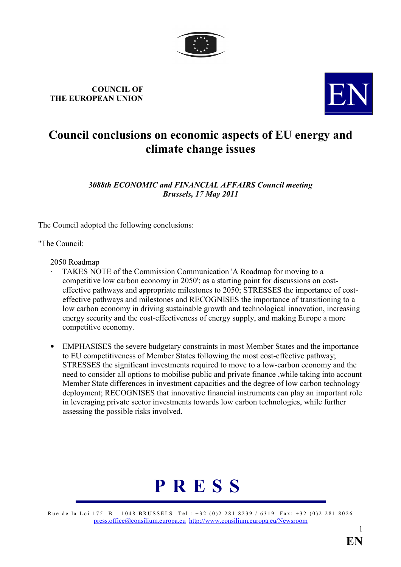

# COUNCIL OF COUNCIL OF THE EUROPEAN UNION



# Council conclusions on economic aspects of EU energy and climate change issues

3088th ECONOMIC and FINANCIAL AFFAIRS Council meeting Brussels, 17 May 2011

The Council adopted the following conclusions:

"The Council:

#### 2050 Roadmap

- · TAKES NOTE of the Commission Communication 'A Roadmap for moving to a competitive low carbon economy in 2050'; as a starting point for discussions on costeffective pathways and appropriate milestones to 2050; STRESSES the importance of costeffective pathways and milestones and RECOGNISES the importance of transitioning to a low carbon economy in driving sustainable growth and technological innovation, increasing energy security and the cost-effectiveness of energy supply, and making Europe a more competitive economy.
- EMPHASISES the severe budgetary constraints in most Member States and the importance to EU competitiveness of Member States following the most cost-effective pathway; STRESSES the significant investments required to move to a low-carbon economy and the need to consider all options to mobilise public and private finance ,while taking into account Member State differences in investment capacities and the degree of low carbon technology deployment; RECOGNISES that innovative financial instruments can play an important role in leveraging private sector investments towards low carbon technologies, while further assessing the possible risks involved.



Rue de la Loi 175 B – 1048 BRUSSELS Tel.: +32 (0)2 281 8239 / 6319 Fax: +32 (0)2 281 8026 [press.office@consilium.europa.eu](mailto:press.office@consilium.eu.int) [http://www.consilium.europa.eu/Newsroom](http://ue.eu.int/Newsroom)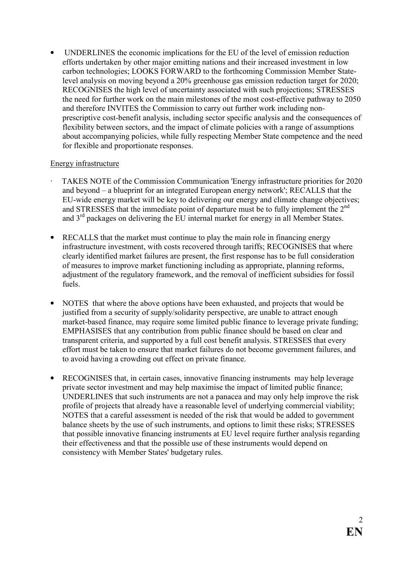• UNDERLINES the economic implications for the EU of the level of emission reduction efforts undertaken by other major emitting nations and their increased investment in low carbon technologies; LOOKS FORWARD to the forthcoming Commission Member Statelevel analysis on moving beyond a 20% greenhouse gas emission reduction target for 2020; RECOGNISES the high level of uncertainty associated with such projections; STRESSES the need for further work on the main milestones of the most cost-effective pathway to 2050 and therefore INVITES the Commission to carry out further work including nonprescriptive cost-benefit analysis, including sector specific analysis and the consequences of flexibility between sectors, and the impact of climate policies with a range of assumptions about accompanying policies, while fully respecting Member State competence and the need for flexible and proportionate responses.

## Energy infrastructure

- TAKES NOTE of the Commission Communication 'Energy infrastructure priorities for 2020 and beyond – a blueprint for an integrated European energy network'; RECALLS that the EU-wide energy market will be key to delivering our energy and climate change objectives; and STRESSES that the immediate point of departure must be to fully implement the  $2<sup>nd</sup>$ and 3rd packages on delivering the EU internal market for energy in all Member States.
- RECALLS that the market must continue to play the main role in financing energy infrastructure investment, with costs recovered through tariffs; RECOGNISES that where clearly identified market failures are present, the first response has to be full consideration of measures to improve market functioning including as appropriate, planning reforms, adjustment of the regulatory framework, and the removal of inefficient subsidies for fossil fuels.
- NOTES that where the above options have been exhausted, and projects that would be justified from a security of supply/solidarity perspective, are unable to attract enough market-based finance, may require some limited public finance to leverage private funding; EMPHASISES that any contribution from public finance should be based on clear and transparent criteria, and supported by a full cost benefit analysis. STRESSES that every effort must be taken to ensure that market failures do not become government failures, and to avoid having a crowding out effect on private finance.
- RECOGNISES that, in certain cases, innovative financing instruments may help leverage private sector investment and may help maximise the impact of limited public finance; UNDERLINES that such instruments are not a panacea and may only help improve the risk profile of projects that already have a reasonable level of underlying commercial viability; NOTES that a careful assessment is needed of the risk that would be added to government balance sheets by the use of such instruments, and options to limit these risks; STRESSES that possible innovative financing instruments at EU level require further analysis regarding their effectiveness and that the possible use of these instruments would depend on consistency with Member States' budgetary rules.